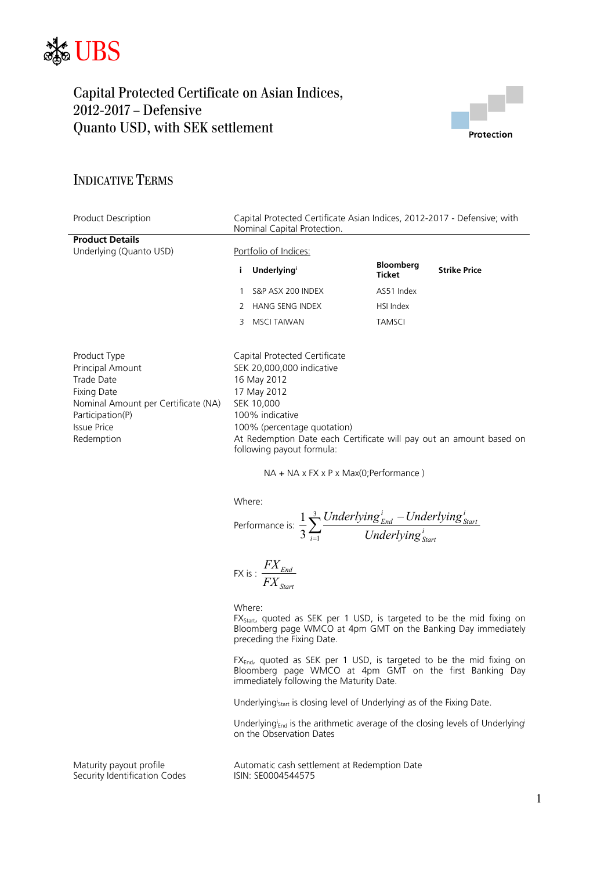



## INDICATIVE TERMS

| Product Description                                                                                                                                                        | Capital Protected Certificate Asian Indices, 2012-2017 - Defensive; with<br>Nominal Capital Protection.                           |                                                                                                                                                                                                                                                                                                       |                                   |                     |  |
|----------------------------------------------------------------------------------------------------------------------------------------------------------------------------|-----------------------------------------------------------------------------------------------------------------------------------|-------------------------------------------------------------------------------------------------------------------------------------------------------------------------------------------------------------------------------------------------------------------------------------------------------|-----------------------------------|---------------------|--|
| <b>Product Details</b><br>Underlying (Quanto USD)                                                                                                                          |                                                                                                                                   | Portfolio of Indices:                                                                                                                                                                                                                                                                                 |                                   |                     |  |
|                                                                                                                                                                            | i.                                                                                                                                | <b>Underlying</b>                                                                                                                                                                                                                                                                                     | <b>Bloomberg</b><br><b>Ticket</b> | <b>Strike Price</b> |  |
|                                                                                                                                                                            |                                                                                                                                   | S&P ASX 200 INDEX                                                                                                                                                                                                                                                                                     | AS51 Index                        |                     |  |
|                                                                                                                                                                            | 2                                                                                                                                 | <b>HANG SENG INDEX</b>                                                                                                                                                                                                                                                                                | HSI Index                         |                     |  |
|                                                                                                                                                                            | 3                                                                                                                                 | <b>MSCI TAIWAN</b>                                                                                                                                                                                                                                                                                    | <b>TAMSCI</b>                     |                     |  |
| Product Type<br>Principal Amount<br><b>Trade Date</b><br><b>Fixing Date</b><br>Nominal Amount per Certificate (NA)<br>Participation(P)<br><b>Issue Price</b><br>Redemption |                                                                                                                                   | Capital Protected Certificate<br>SEK 20,000,000 indicative<br>16 May 2012<br>17 May 2012<br>SEK 10,000<br>100% indicative<br>100% (percentage quotation)<br>At Redemption Date each Certificate will pay out an amount based on<br>following payout formula:<br>NA + NA x FX x P x Max(0;Performance) |                                   |                     |  |
|                                                                                                                                                                            | Where:<br>Performance is: $\frac{1}{3}\sum_{i=1}^{3}\frac{Underlying_{End}^{i} - Underlying_{Start}^{i}}{Underlying_{start}^{i}}$ |                                                                                                                                                                                                                                                                                                       |                                   |                     |  |
|                                                                                                                                                                            |                                                                                                                                   | FX is : $\frac{FX_{End}}{FX_{start}}$<br>Where:                                                                                                                                                                                                                                                       |                                   |                     |  |

 $FX_{\text{Start}}$ , quoted as SEK per 1 USD, is targeted to be the mid fixing on Bloomberg page WMCO at 4pm GMT on the Banking Day immediately preceding the Fixing Date.

FX<sub>End</sub>, quoted as SEK per 1 USD, is targeted to be the mid fixing on Bloomberg page WMCO at 4pm GMT on the first Banking Day immediately following the Maturity Date.

Underlyingi<sub>start</sub> is closing level of Underlyingi as of the Fixing Date.

Underlying<sup>i</sup><sub>End</sub> is the arithmetic average of the closing levels of Underlying<sup>i</sup> on the Observation Dates

Security Identification Codes

Maturity payout profile<br>
Security Identification Codes
Security Identification Codes

Automatic cash settlement at Redemption Date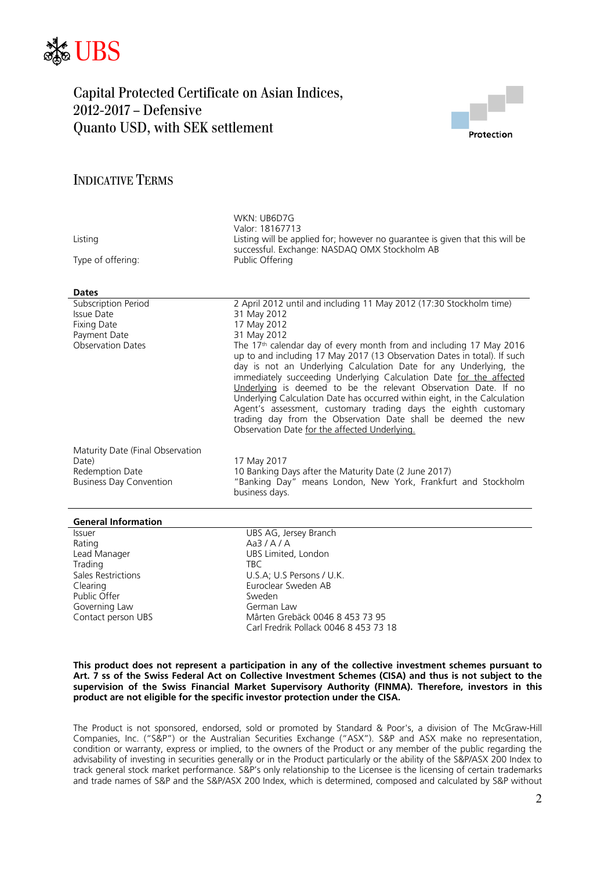



## INDICATIVE TERMS

| Listing<br>Type of offering:<br><b>Dates</b>      | WKN: UB6D7G<br>Valor: 18167713<br>Listing will be applied for; however no guarantee is given that this will be<br>successful. Exchange: NASDAQ OMX Stockholm AB<br>Public Offering                                                                                                                                                                                                                                                                                                                                                                                                                                                           |
|---------------------------------------------------|----------------------------------------------------------------------------------------------------------------------------------------------------------------------------------------------------------------------------------------------------------------------------------------------------------------------------------------------------------------------------------------------------------------------------------------------------------------------------------------------------------------------------------------------------------------------------------------------------------------------------------------------|
| Subscription Period                               | 2 April 2012 until and including 11 May 2012 (17:30 Stockholm time)                                                                                                                                                                                                                                                                                                                                                                                                                                                                                                                                                                          |
| Issue Date                                        | 31 May 2012                                                                                                                                                                                                                                                                                                                                                                                                                                                                                                                                                                                                                                  |
| <b>Fixing Date</b>                                | 17 May 2012                                                                                                                                                                                                                                                                                                                                                                                                                                                                                                                                                                                                                                  |
| Payment Date                                      | 31 May 2012                                                                                                                                                                                                                                                                                                                                                                                                                                                                                                                                                                                                                                  |
| <b>Observation Dates</b>                          | The 17 <sup>th</sup> calendar day of every month from and including 17 May 2016<br>up to and including 17 May 2017 (13 Observation Dates in total). If such<br>day is not an Underlying Calculation Date for any Underlying, the<br>immediately succeeding Underlying Calculation Date for the affected<br>Underlying is deemed to be the relevant Observation Date. If no<br>Underlying Calculation Date has occurred within eight, in the Calculation<br>Agent's assessment, customary trading days the eighth customary<br>trading day from the Observation Date shall be deemed the new<br>Observation Date for the affected Underlying. |
| Maturity Date (Final Observation                  |                                                                                                                                                                                                                                                                                                                                                                                                                                                                                                                                                                                                                                              |
| Date)                                             | 17 May 2017                                                                                                                                                                                                                                                                                                                                                                                                                                                                                                                                                                                                                                  |
| Redemption Date<br><b>Business Day Convention</b> | 10 Banking Days after the Maturity Date (2 June 2017)<br>"Banking Day" means London, New York, Frankfurt and Stockholm<br>business days.                                                                                                                                                                                                                                                                                                                                                                                                                                                                                                     |
| <b>General Information</b>                        |                                                                                                                                                                                                                                                                                                                                                                                                                                                                                                                                                                                                                                              |
| <b>Issuer</b>                                     | UBS AG, Jersey Branch                                                                                                                                                                                                                                                                                                                                                                                                                                                                                                                                                                                                                        |
| Rating                                            | Aa3/A/A                                                                                                                                                                                                                                                                                                                                                                                                                                                                                                                                                                                                                                      |
| Lead Manager                                      | UBS Limited, London                                                                                                                                                                                                                                                                                                                                                                                                                                                                                                                                                                                                                          |
| Trading                                           | TBC.                                                                                                                                                                                                                                                                                                                                                                                                                                                                                                                                                                                                                                         |

Public Offer<br>Governing Law Sweden<br>German Law Governing Law<br>Contact person UBS

Sales Restrictions **Example 20** U.S.A: U.S Persons / U.K. Clearing Euroclear Sweden AB Mårten Grebäck 0046 8 453 73 95 Carl Fredrik Pollack 0046 8 453 73 18

#### **This product does not represent a participation in any of the collective investment schemes pursuant to Art. 7 ss of the Swiss Federal Act on Collective Investment Schemes (CISA) and thus is not subject to the supervision of the Swiss Financial Market Supervisory Authority (FINMA). Therefore, investors in this product are not eligible for the specific investor protection under the CISA.**

The Product is not sponsored, endorsed, sold or promoted by Standard & Poor's, a division of The McGraw-Hill Companies, Inc. ("S&P") or the Australian Securities Exchange ("ASX"). S&P and ASX make no representation, condition or warranty, express or implied, to the owners of the Product or any member of the public regarding the advisability of investing in securities generally or in the Product particularly or the ability of the S&P/ASX 200 Index to track general stock market performance. S&P's only relationship to the Licensee is the licensing of certain trademarks and trade names of S&P and the S&P/ASX 200 Index, which is determined, composed and calculated by S&P without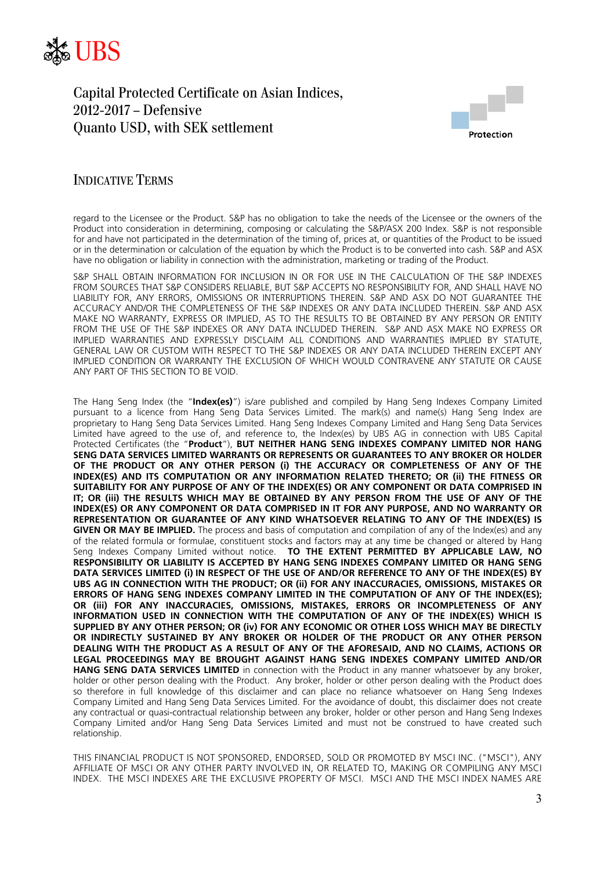



## INDICATIVE TERMS

regard to the Licensee or the Product. S&P has no obligation to take the needs of the Licensee or the owners of the Product into consideration in determining, composing or calculating the S&P/ASX 200 Index. S&P is not responsible for and have not participated in the determination of the timing of, prices at, or quantities of the Product to be issued or in the determination or calculation of the equation by which the Product is to be converted into cash. S&P and ASX have no obligation or liability in connection with the administration, marketing or trading of the Product.

S&P SHALL OBTAIN INFORMATION FOR INCLUSION IN OR FOR USE IN THE CALCULATION OF THE S&P INDEXES FROM SOURCES THAT S&P CONSIDERS RELIABLE, BUT S&P ACCEPTS NO RESPONSIBILITY FOR, AND SHALL HAVE NO LIABILITY FOR, ANY ERRORS, OMISSIONS OR INTERRUPTIONS THEREIN. S&P AND ASX DO NOT GUARANTEE THE ACCURACY AND/OR THE COMPLETENESS OF THE S&P INDEXES OR ANY DATA INCLUDED THEREIN. S&P AND ASX MAKE NO WARRANTY, EXPRESS OR IMPLIED, AS TO THE RESULTS TO BE OBTAINED BY ANY PERSON OR ENTITY FROM THE USE OF THE S&P INDEXES OR ANY DATA INCLUDED THEREIN. S&P AND ASX MAKE NO EXPRESS OR IMPLIED WARRANTIES AND EXPRESSLY DISCLAIM ALL CONDITIONS AND WARRANTIES IMPLIED BY STATUTE, GENERAL LAW OR CUSTOM WITH RESPECT TO THE S&P INDEXES OR ANY DATA INCLUDED THEREIN EXCEPT ANY IMPLIED CONDITION OR WARRANTY THE EXCLUSION OF WHICH WOULD CONTRAVENE ANY STATUTE OR CAUSE ANY PART OF THIS SECTION TO BE VOID.

The Hang Seng Index (the "**Index(es)**") is/are published and compiled by Hang Seng Indexes Company Limited pursuant to a licence from Hang Seng Data Services Limited. The mark(s) and name(s) Hang Seng Index are proprietary to Hang Seng Data Services Limited. Hang Seng Indexes Company Limited and Hang Seng Data Services Limited have agreed to the use of, and reference to, the Index(es) by UBS AG in connection with UBS Capital Protected Certificates (the "**Product**"), **BUT NEITHER HANG SENG INDEXES COMPANY LIMITED NOR HANG SENG DATA SERVICES LIMITED WARRANTS OR REPRESENTS OR GUARANTEES TO ANY BROKER OR HOLDER OF THE PRODUCT OR ANY OTHER PERSON (i) THE ACCURACY OR COMPLETENESS OF ANY OF THE INDEX(ES) AND ITS COMPUTATION OR ANY INFORMATION RELATED THERETO; OR (ii) THE FITNESS OR SUITABILITY FOR ANY PURPOSE OF ANY OF THE INDEX(ES) OR ANY COMPONENT OR DATA COMPRISED IN IT; OR (iii) THE RESULTS WHICH MAY BE OBTAINED BY ANY PERSON FROM THE USE OF ANY OF THE INDEX(ES) OR ANY COMPONENT OR DATA COMPRISED IN IT FOR ANY PURPOSE, AND NO WARRANTY OR REPRESENTATION OR GUARANTEE OF ANY KIND WHATSOEVER RELATING TO ANY OF THE INDEX(ES) IS GIVEN OR MAY BE IMPLIED.** The process and basis of computation and compilation of any of the Index(es) and any of the related formula or formulae, constituent stocks and factors may at any time be changed or altered by Hang Seng Indexes Company Limited without notice. **TO THE EXTENT PERMITTED BY APPLICABLE LAW, NO RESPONSIBILITY OR LIABILITY IS ACCEPTED BY HANG SENG INDEXES COMPANY LIMITED OR HANG SENG DATA SERVICES LIMITED (i) IN RESPECT OF THE USE OF AND/OR REFERENCE TO ANY OF THE INDEX(ES) BY UBS AG IN CONNECTION WITH THE PRODUCT; OR (ii) FOR ANY INACCURACIES, OMISSIONS, MISTAKES OR ERRORS OF HANG SENG INDEXES COMPANY LIMITED IN THE COMPUTATION OF ANY OF THE INDEX(ES); OR (iii) FOR ANY INACCURACIES, OMISSIONS, MISTAKES, ERRORS OR INCOMPLETENESS OF ANY INFORMATION USED IN CONNECTION WITH THE COMPUTATION OF ANY OF THE INDEX(ES) WHICH IS SUPPLIED BY ANY OTHER PERSON; OR (iv) FOR ANY ECONOMIC OR OTHER LOSS WHICH MAY BE DIRECTLY OR INDIRECTLY SUSTAINED BY ANY BROKER OR HOLDER OF THE PRODUCT OR ANY OTHER PERSON DEALING WITH THE PRODUCT AS A RESULT OF ANY OF THE AFORESAID, AND NO CLAIMS, ACTIONS OR LEGAL PROCEEDINGS MAY BE BROUGHT AGAINST HANG SENG INDEXES COMPANY LIMITED AND/OR HANG SENG DATA SERVICES LIMITED** in connection with the Product in any manner whatsoever by any broker, holder or other person dealing with the Product. Any broker, holder or other person dealing with the Product does so therefore in full knowledge of this disclaimer and can place no reliance whatsoever on Hang Seng Indexes Company Limited and Hang Seng Data Services Limited. For the avoidance of doubt, this disclaimer does not create any contractual or quasi-contractual relationship between any broker, holder or other person and Hang Seng Indexes Company Limited and/or Hang Seng Data Services Limited and must not be construed to have created such relationship.

THIS FINANCIAL PRODUCT IS NOT SPONSORED, ENDORSED, SOLD OR PROMOTED BY MSCI INC. ("MSCI"), ANY AFFILIATE OF MSCI OR ANY OTHER PARTY INVOLVED IN, OR RELATED TO, MAKING OR COMPILING ANY MSCI INDEX. THE MSCI INDEXES ARE THE EXCLUSIVE PROPERTY OF MSCI. MSCI AND THE MSCI INDEX NAMES ARE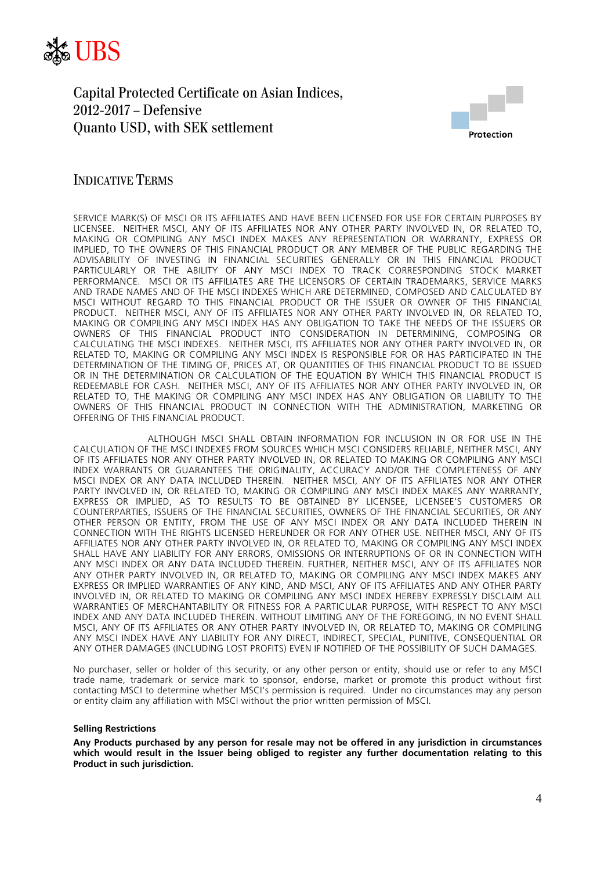



### INDICATIVE TERMS

SERVICE MARK(S) OF MSCI OR ITS AFFILIATES AND HAVE BEEN LICENSED FOR USE FOR CERTAIN PURPOSES BY LICENSEE. NEITHER MSCI, ANY OF ITS AFFILIATES NOR ANY OTHER PARTY INVOLVED IN, OR RELATED TO, MAKING OR COMPILING ANY MSCI INDEX MAKES ANY REPRESENTATION OR WARRANTY, EXPRESS OR IMPLIED, TO THE OWNERS OF THIS FINANCIAL PRODUCT OR ANY MEMBER OF THE PUBLIC REGARDING THE ADVISABILITY OF INVESTING IN FINANCIAL SECURITIES GENERALLY OR IN THIS FINANCIAL PRODUCT PARTICULARLY OR THE ABILITY OF ANY MSCI INDEX TO TRACK CORRESPONDING STOCK MARKET PERFORMANCE. MSCI OR ITS AFFILIATES ARE THE LICENSORS OF CERTAIN TRADEMARKS, SERVICE MARKS AND TRADE NAMES AND OF THE MSCI INDEXES WHICH ARE DETERMINED, COMPOSED AND CALCULATED BY MSCI WITHOUT REGARD TO THIS FINANCIAL PRODUCT OR THE ISSUER OR OWNER OF THIS FINANCIAL PRODUCT. NEITHER MSCI, ANY OF ITS AFFILIATES NOR ANY OTHER PARTY INVOLVED IN, OR RELATED TO, MAKING OR COMPILING ANY MSCI INDEX HAS ANY OBLIGATION TO TAKE THE NEEDS OF THE ISSUERS OR OWNERS OF THIS FINANCIAL PRODUCT INTO CONSIDERATION IN DETERMINING, COMPOSING OR CALCULATING THE MSCI INDEXES. NEITHER MSCI, ITS AFFILIATES NOR ANY OTHER PARTY INVOLVED IN, OR RELATED TO, MAKING OR COMPILING ANY MSCI INDEX IS RESPONSIBLE FOR OR HAS PARTICIPATED IN THE DETERMINATION OF THE TIMING OF, PRICES AT, OR QUANTITIES OF THIS FINANCIAL PRODUCT TO BE ISSUED OR IN THE DETERMINATION OR CALCULATION OF THE EQUATION BY WHICH THIS FINANCIAL PRODUCT IS REDEEMABLE FOR CASH. NEITHER MSCI, ANY OF ITS AFFILIATES NOR ANY OTHER PARTY INVOLVED IN, OR RELATED TO, THE MAKING OR COMPILING ANY MSCI INDEX HAS ANY OBLIGATION OR LIABILITY TO THE OWNERS OF THIS FINANCIAL PRODUCT IN CONNECTION WITH THE ADMINISTRATION, MARKETING OR OFFERING OF THIS FINANCIAL PRODUCT.

 ALTHOUGH MSCI SHALL OBTAIN INFORMATION FOR INCLUSION IN OR FOR USE IN THE CALCULATION OF THE MSCI INDEXES FROM SOURCES WHICH MSCI CONSIDERS RELIABLE, NEITHER MSCI, ANY OF ITS AFFILIATES NOR ANY OTHER PARTY INVOLVED IN, OR RELATED TO MAKING OR COMPILING ANY MSCI INDEX WARRANTS OR GUARANTEES THE ORIGINALITY, ACCURACY AND/OR THE COMPLETENESS OF ANY MSCI INDEX OR ANY DATA INCLUDED THEREIN. NEITHER MSCI, ANY OF ITS AFFILIATES NOR ANY OTHER PARTY INVOLVED IN, OR RELATED TO, MAKING OR COMPILING ANY MSCI INDEX MAKES ANY WARRANTY, EXPRESS OR IMPLIED, AS TO RESULTS TO BE OBTAINED BY LICENSEE, LICENSEE'S CUSTOMERS OR COUNTERPARTIES, ISSUERS OF THE FINANCIAL SECURITIES, OWNERS OF THE FINANCIAL SECURITIES, OR ANY OTHER PERSON OR ENTITY, FROM THE USE OF ANY MSCI INDEX OR ANY DATA INCLUDED THEREIN IN CONNECTION WITH THE RIGHTS LICENSED HEREUNDER OR FOR ANY OTHER USE. NEITHER MSCI, ANY OF ITS AFFILIATES NOR ANY OTHER PARTY INVOLVED IN, OR RELATED TO, MAKING OR COMPILING ANY MSCI INDEX SHALL HAVE ANY LIABILITY FOR ANY ERRORS, OMISSIONS OR INTERRUPTIONS OF OR IN CONNECTION WITH ANY MSCI INDEX OR ANY DATA INCLUDED THEREIN. FURTHER, NEITHER MSCI, ANY OF ITS AFFILIATES NOR ANY OTHER PARTY INVOLVED IN, OR RELATED TO, MAKING OR COMPILING ANY MSCI INDEX MAKES ANY EXPRESS OR IMPLIED WARRANTIES OF ANY KIND, AND MSCI, ANY OF ITS AFFILIATES AND ANY OTHER PARTY INVOLVED IN, OR RELATED TO MAKING OR COMPILING ANY MSCI INDEX HEREBY EXPRESSLY DISCLAIM ALL WARRANTIES OF MERCHANTABILITY OR FITNESS FOR A PARTICULAR PURPOSE, WITH RESPECT TO ANY MSCI INDEX AND ANY DATA INCLUDED THEREIN. WITHOUT LIMITING ANY OF THE FOREGOING, IN NO EVENT SHALL MSCI, ANY OF ITS AFFILIATES OR ANY OTHER PARTY INVOLVED IN, OR RELATED TO, MAKING OR COMPILING ANY MSCI INDEX HAVE ANY LIABILITY FOR ANY DIRECT, INDIRECT, SPECIAL, PUNITIVE, CONSEQUENTIAL OR ANY OTHER DAMAGES (INCLUDING LOST PROFITS) EVEN IF NOTIFIED OF THE POSSIBILITY OF SUCH DAMAGES.

No purchaser, seller or holder of this security, or any other person or entity, should use or refer to any MSCI trade name, trademark or service mark to sponsor, endorse, market or promote this product without first contacting MSCI to determine whether MSCI's permission is required. Under no circumstances may any person or entity claim any affiliation with MSCI without the prior written permission of MSCI.

#### **Selling Restrictions**

**Any Products purchased by any person for resale may not be offered in any jurisdiction in circumstances which would result in the Issuer being obliged to register any further documentation relating to this Product in such jurisdiction.**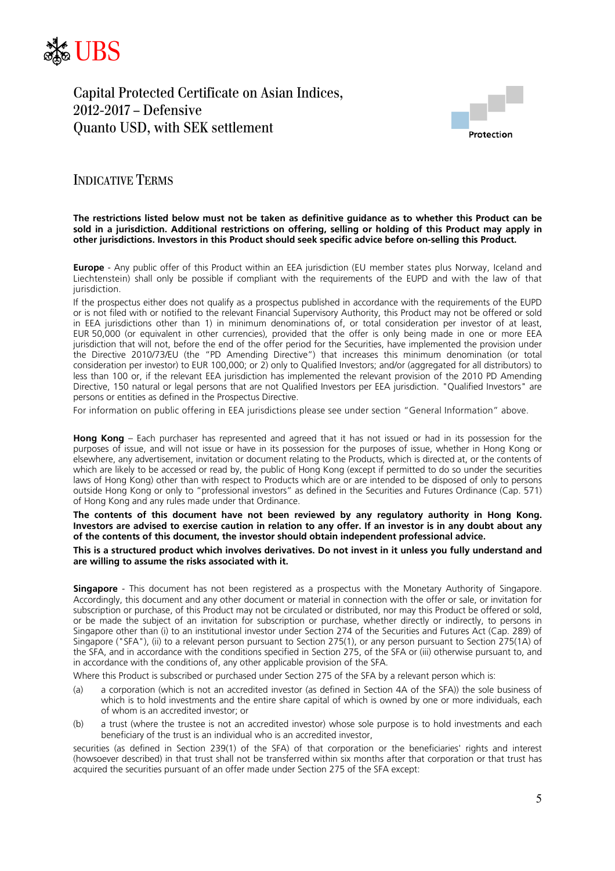



### INDICATIVE TERMS

#### **The restrictions listed below must not be taken as definitive guidance as to whether this Product can be sold in a jurisdiction. Additional restrictions on offering, selling or holding of this Product may apply in other jurisdictions. Investors in this Product should seek specific advice before on-selling this Product.**

**Europe** - Any public offer of this Product within an EEA jurisdiction (EU member states plus Norway, Iceland and Liechtenstein) shall only be possible if compliant with the requirements of the EUPD and with the law of that iurisdiction.

If the prospectus either does not qualify as a prospectus published in accordance with the requirements of the EUPD or is not filed with or notified to the relevant Financial Supervisory Authority, this Product may not be offered or sold in EEA jurisdictions other than 1) in minimum denominations of, or total consideration per investor of at least, EUR 50,000 (or equivalent in other currencies), provided that the offer is only being made in one or more EEA jurisdiction that will not, before the end of the offer period for the Securities, have implemented the provision under the Directive 2010/73/EU (the "PD Amending Directive") that increases this minimum denomination (or total consideration per investor) to EUR 100,000; or 2) only to Qualified Investors; and/or (aggregated for all distributors) to less than 100 or, if the relevant EEA jurisdiction has implemented the relevant provision of the 2010 PD Amending Directive, 150 natural or legal persons that are not Qualified Investors per EEA jurisdiction. "Qualified Investors" are persons or entities as defined in the Prospectus Directive.

For information on public offering in EEA jurisdictions please see under section "General Information" above.

**Hong Kong** – Each purchaser has represented and agreed that it has not issued or had in its possession for the purposes of issue, and will not issue or have in its possession for the purposes of issue, whether in Hong Kong or elsewhere, any advertisement, invitation or document relating to the Products, which is directed at, or the contents of which are likely to be accessed or read by, the public of Hong Kong (except if permitted to do so under the securities laws of Hong Kong) other than with respect to Products which are or are intended to be disposed of only to persons outside Hong Kong or only to "professional investors" as defined in the Securities and Futures Ordinance (Cap. 571) of Hong Kong and any rules made under that Ordinance.

#### **The contents of this document have not been reviewed by any regulatory authority in Hong Kong. Investors are advised to exercise caution in relation to any offer. If an investor is in any doubt about any of the contents of this document, the investor should obtain independent professional advice.**

#### **This is a structured product which involves derivatives. Do not invest in it unless you fully understand and are willing to assume the risks associated with it.**

**Singapore** - This document has not been registered as a prospectus with the Monetary Authority of Singapore. Accordingly, this document and any other document or material in connection with the offer or sale, or invitation for subscription or purchase, of this Product may not be circulated or distributed, nor may this Product be offered or sold, or be made the subject of an invitation for subscription or purchase, whether directly or indirectly, to persons in Singapore other than (i) to an institutional investor under Section 274 of the Securities and Futures Act (Cap. 289) of Singapore ("SFA"), (ii) to a relevant person pursuant to Section 275(1), or any person pursuant to Section 275(1A) of the SFA, and in accordance with the conditions specified in Section 275, of the SFA or (iii) otherwise pursuant to, and in accordance with the conditions of, any other applicable provision of the SFA.

Where this Product is subscribed or purchased under Section 275 of the SFA by a relevant person which is:

- (a) a corporation (which is not an accredited investor (as defined in Section 4A of the SFA)) the sole business of which is to hold investments and the entire share capital of which is owned by one or more individuals, each of whom is an accredited investor; or
- (b) a trust (where the trustee is not an accredited investor) whose sole purpose is to hold investments and each beneficiary of the trust is an individual who is an accredited investor,

securities (as defined in Section 239(1) of the SFA) of that corporation or the beneficiaries' rights and interest (howsoever described) in that trust shall not be transferred within six months after that corporation or that trust has acquired the securities pursuant of an offer made under Section 275 of the SFA except: